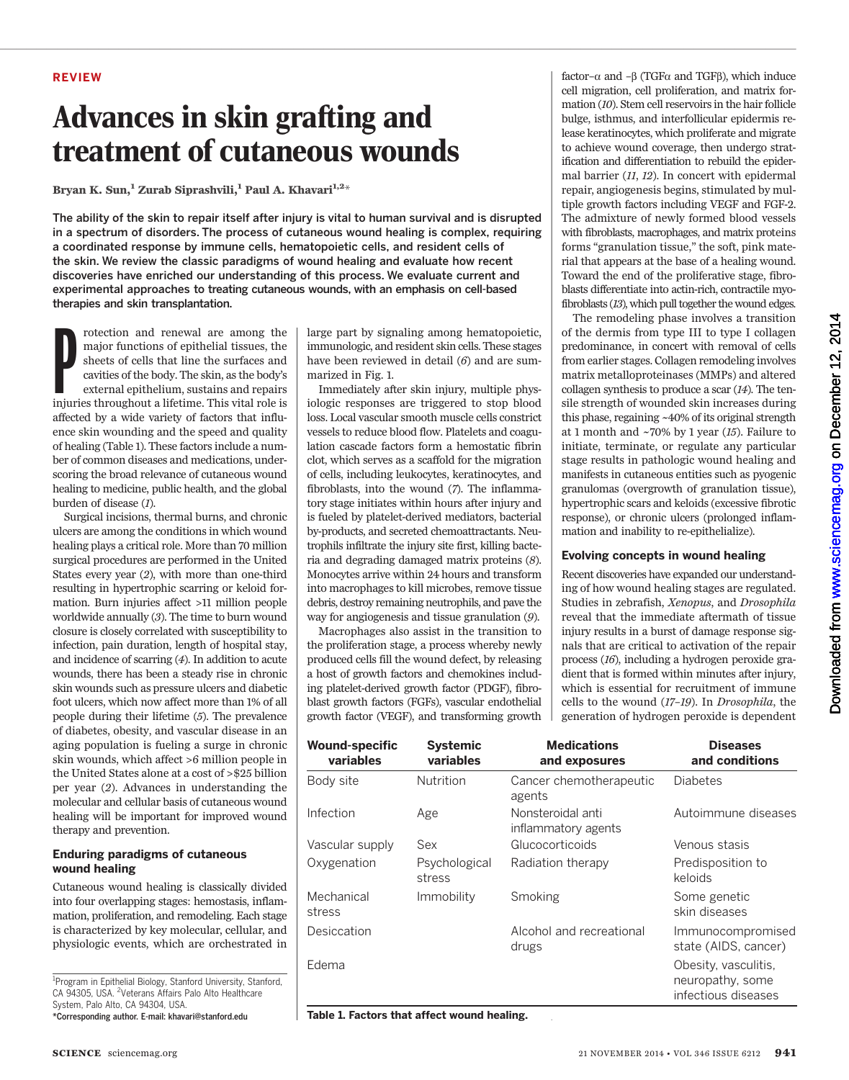### REVIEW

## Advances in skin grafting and treatment of cutaneous wounds

Bryan K. Sun,<sup>1</sup> Zurab Siprashvili,<sup>1</sup> Paul A. Khavari<sup>1,2\*</sup>

The ability of the skin to repair itself after injury is vital to human survival and is disrupted in a spectrum of disorders. The process of cutaneous wound healing is complex, requiring a coordinated response by immune cells, hematopoietic cells, and resident cells of the skin. We review the classic paradigms of wound healing and evaluate how recent discoveries have enriched our understanding of this process. We evaluate current and experimental approaches to treating cutaneous wounds, with an emphasis on cell-based therapies and skin transplantation.

rotection and renewal are among the major functions of epithelial tissues, the sheets of cells that line the surfaces and cavities of the body. The skin, as the body's external epithelium, sustains and repairs injuries thr rotection and renewal are among the major functions of epithelial tissues, the sheets of cells that line the surfaces and cavities of the body. The skin, as the body's external epithelium, sustains and repairs affected by a wide variety of factors that influence skin wounding and the speed and quality of healing (Table 1). These factors include a number of common diseases and medications, underscoring the broad relevance of cutaneous wound healing to medicine, public health, and the global burden of disease (1).

Surgical incisions, thermal burns, and chronic ulcers are among the conditions in which wound healing plays a critical role. More than 70 million surgical procedures are performed in the United States every year (2), with more than one-third resulting in hypertrophic scarring or keloid formation. Burn injuries affect >11 million people worldwide annually (3). The time to burn wound closure is closely correlated with susceptibility to infection, pain duration, length of hospital stay, and incidence of scarring (4). In addition to acute wounds, there has been a steady rise in chronic skin wounds such as pressure ulcers and diabetic foot ulcers, which now affect more than 1% of all people during their lifetime (5). The prevalence of diabetes, obesity, and vascular disease in an aging population is fueling a surge in chronic skin wounds, which affect >6 million people in the United States alone at a cost of >\$25 billion per year (2). Advances in understanding the molecular and cellular basis of cutaneous wound healing will be important for improved wound therapy and prevention.

## Enduring paradigms of cutaneous wound healing

Cutaneous wound healing is classically divided into four overlapping stages: hemostasis, inflammation, proliferation, and remodeling. Each stage is characterized by key molecular, cellular, and physiologic events, which are orchestrated in

<sup>1</sup> Program in Epithelial Biology, Stanford University, Stanford, CA 94305, USA. <sup>2</sup>Veterans Affairs Palo Alto Healthcare System, Palo Alto, CA 94304, USA.

\*Corresponding author. E-mail: khavari@stanford.edu

large part by signaling among hematopoietic, immunologic, and resident skin cells. These stages have been reviewed in detail (6) and are summarized in Fig. 1.

Immediately after skin injury, multiple physiologic responses are triggered to stop blood loss. Local vascular smooth muscle cells constrict vessels to reduce blood flow. Platelets and coagulation cascade factors form a hemostatic fibrin clot, which serves as a scaffold for the migration of cells, including leukocytes, keratinocytes, and fibroblasts, into the wound (7). The inflammatory stage initiates within hours after injury and is fueled by platelet-derived mediators, bacterial by-products, and secreted chemoattractants. Neutrophils infiltrate the injury site first, killing bacteria and degrading damaged matrix proteins (8). Monocytes arrive within 24 hours and transform into macrophages to kill microbes, remove tissue debris, destroy remaining neutrophils, and pave the way for angiogenesis and tissue granulation (9).

Macrophages also assist in the transition to the proliferation stage, a process whereby newly produced cells fill the wound defect, by releasing a host of growth factors and chemokines including platelet-derived growth factor (PDGF), fibroblast growth factors (FGFs), vascular endothelial growth factor (VEGF), and transforming growth

factor– $\alpha$  and – $\beta$  (TGF $\alpha$  and TGF $\beta$ ), which induce cell migration, cell proliferation, and matrix formation (10). Stem cell reservoirs in the hair follicle bulge, isthmus, and interfollicular epidermis release keratinocytes, which proliferate and migrate to achieve wound coverage, then undergo stratification and differentiation to rebuild the epidermal barrier (11, 12). In concert with epidermal repair, angiogenesis begins, stimulated by multiple growth factors including VEGF and FGF-2. The admixture of newly formed blood vessels with fibroblasts, macrophages, and matrix proteins forms "granulation tissue," the soft, pink material that appears at the base of a healing wound. Toward the end of the proliferative stage, fibroblasts differentiate into actin-rich, contractile myofibroblasts (13), which pull together the wound edges.

The remodeling phase involves a transition of the dermis from type III to type I collagen predominance, in concert with removal of cells from earlier stages. Collagen remodeling involves matrix metalloproteinases (MMPs) and altered collagen synthesis to produce a scar (14). The tensile strength of wounded skin increases during this phase, regaining ~40% of its original strength at 1 month and  $\sim$ 70% by 1 year (15). Failure to initiate, terminate, or regulate any particular stage results in pathologic wound healing and manifests in cutaneous entities such as pyogenic granulomas (overgrowth of granulation tissue), hypertrophic scars and keloids (excessive fibrotic response), or chronic ulcers (prolonged inflammation and inability to re-epithelialize).

## Evolving concepts in wound healing

Recent discoveries have expanded our understanding of how wound healing stages are regulated. Studies in zebrafish, Xenopus, and Drosophila reveal that the immediate aftermath of tissue injury results in a burst of damage response signals that are critical to activation of the repair process (16), including a hydrogen peroxide gradient that is formed within minutes after injury, which is essential for recruitment of immune cells to the wound (17–19). In Drosophila, the generation of hydrogen peroxide is dependent

| <b>Wound-specific</b><br>variables | <b>Systemic</b><br>variables | <b>Medications</b><br>and exposures      | <b>Diseases</b><br>and conditions                               |
|------------------------------------|------------------------------|------------------------------------------|-----------------------------------------------------------------|
| Body site                          | Nutrition                    | Cancer chemotherapeutic<br>agents        | Diabetes                                                        |
| Infection                          | Age                          | Nonsteroidal anti<br>inflammatory agents | Autoimmune diseases                                             |
| Vascular supply                    | Sex                          | Glucocorticoids                          | Venous stasis                                                   |
| Oxygenation                        | Psychological<br>stress      | Radiation therapy                        | Predisposition to<br>keloids                                    |
| Mechanical<br>stress               | Immobility                   | Smoking                                  | Some genetic<br>skin diseases                                   |
| Desiccation                        |                              | Alcohol and recreational<br>drugs        | Immunocompromised<br>state (AIDS, cancer)                       |
| Edema                              |                              |                                          | Obesity, vasculitis,<br>neuropathy, some<br>infectious diseases |

Table 1. Factors that affect wound healing.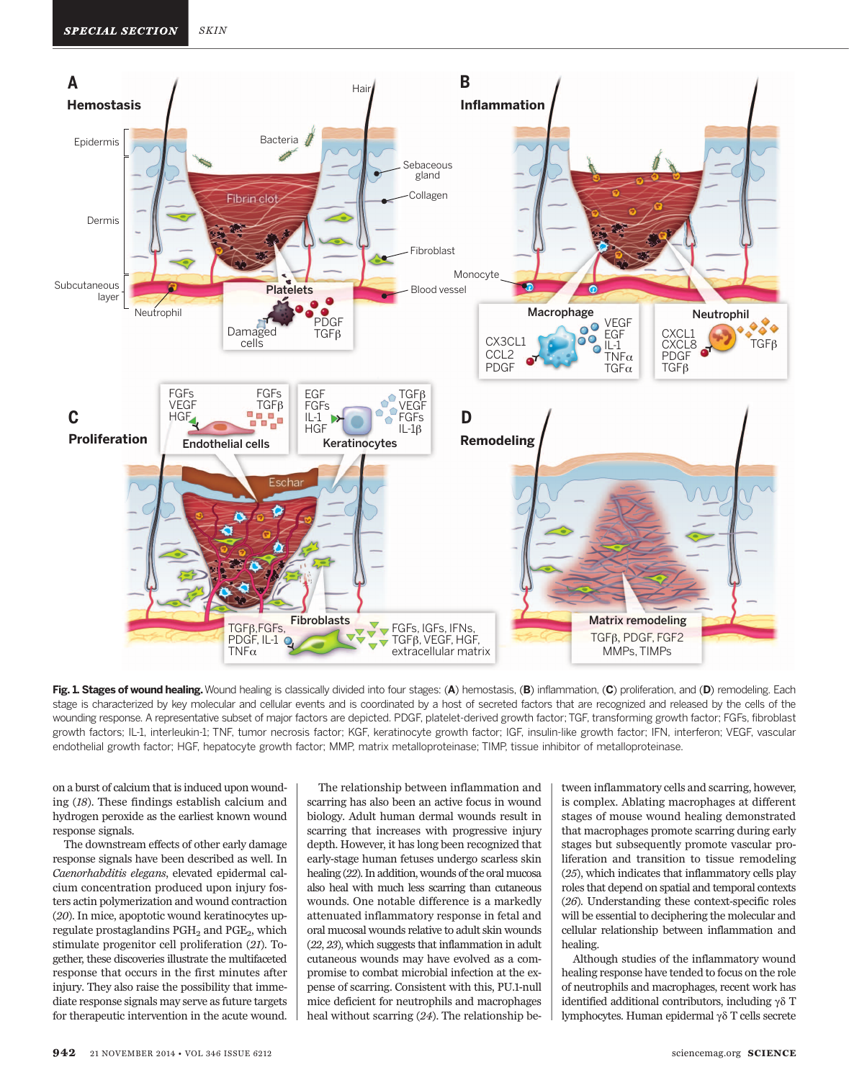

Fig. 1. Stages of wound healing. Wound healing is classically divided into four stages: (A) hemostasis, (B) inflammation, (C) proliferation, and (D) remodeling. Each stage is characterized by key molecular and cellular events and is coordinated by a host of secreted factors that are recognized and released by the cells of the wounding response. A representative subset of major factors are depicted. PDGF, platelet-derived growth factor; TGF, transforming growth factor; FGFs, fibroblast growth factors; IL-1, interleukin-1; TNF, tumor necrosis factor; KGF, keratinocyte growth factor; IGF, insulin-like growth factor; IFN, interferon; VEGF, vascular endothelial growth factor; HGF, hepatocyte growth factor; MMP, matrix metalloproteinase; TIMP, tissue inhibitor of metalloproteinase.

on a burst of calcium that is induced upon wounding (18). These findings establish calcium and hydrogen peroxide as the earliest known wound response signals.

The downstream effects of other early damage response signals have been described as well. In Caenorhabditis elegans, elevated epidermal calcium concentration produced upon injury fosters actin polymerization and wound contraction (20). In mice, apoptotic wound keratinocytes upregulate prostaglandins  $PGH<sub>2</sub>$  and  $PGE<sub>2</sub>$ , which stimulate progenitor cell proliferation (21). Together, these discoveries illustrate the multifaceted response that occurs in the first minutes after injury. They also raise the possibility that immediate response signals may serve as future targets for therapeutic intervention in the acute wound.

The relationship between inflammation and scarring has also been an active focus in wound biology. Adult human dermal wounds result in scarring that increases with progressive injury depth. However, it has long been recognized that early-stage human fetuses undergo scarless skin healing (22). In addition, wounds of the oral mucosa also heal with much less scarring than cutaneous wounds. One notable difference is a markedly attenuated inflammatory response in fetal and oral mucosal wounds relative to adult skin wounds (22, 23), which suggests that inflammation in adult cutaneous wounds may have evolved as a compromise to combat microbial infection at the expense of scarring. Consistent with this, PU.1-null mice deficient for neutrophils and macrophages heal without scarring (24). The relationship between inflammatory cells and scarring, however, is complex. Ablating macrophages at different stages of mouse wound healing demonstrated that macrophages promote scarring during early stages but subsequently promote vascular proliferation and transition to tissue remodeling (25), which indicates that inflammatory cells play roles that depend on spatial and temporal contexts (26). Understanding these context-specific roles will be essential to deciphering the molecular and cellular relationship between inflammation and healing.

Although studies of the inflammatory wound healing response have tended to focus on the role of neutrophils and macrophages, recent work has identified additional contributors, including  $\gamma \delta$  T lymphocytes. Human epidermal  $\gamma\delta$  T cells secrete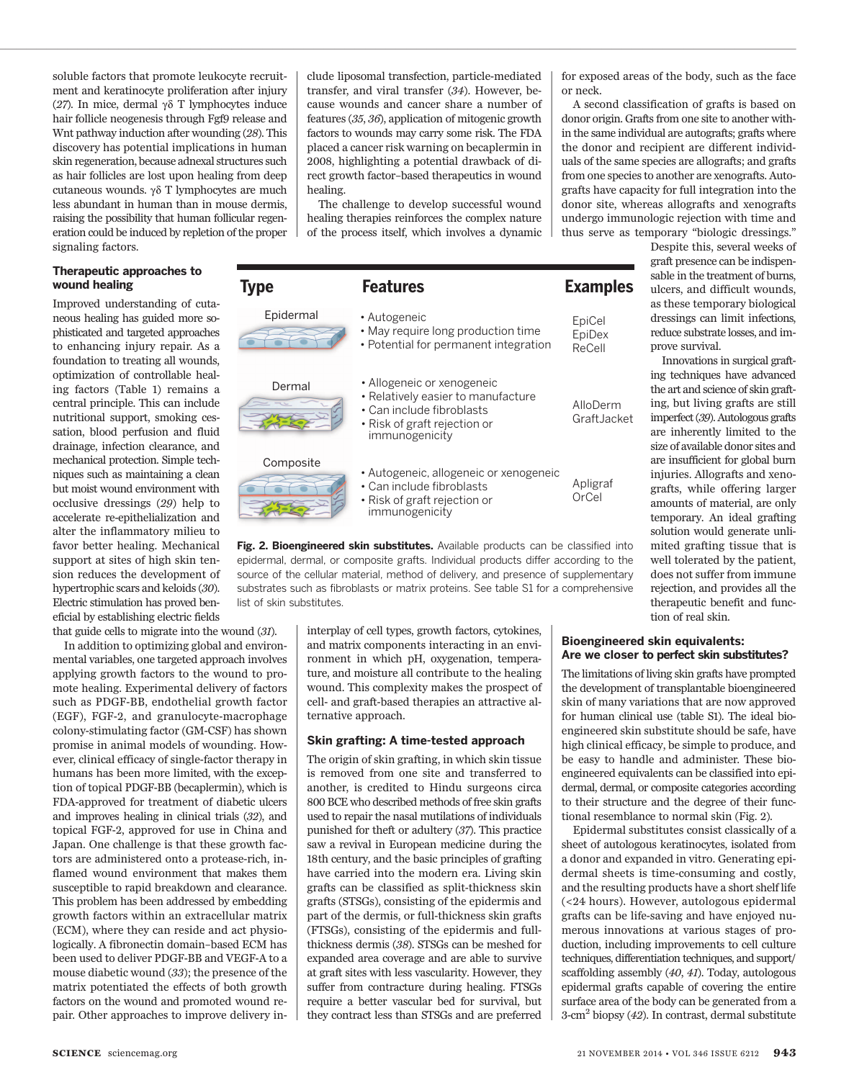soluble factors that promote leukocyte recruitment and keratinocyte proliferation after injury (27). In mice, dermal  $\gamma\delta$  T lymphocytes induce hair follicle neogenesis through Fgf9 release and Wnt pathway induction after wounding (28). This discovery has potential implications in human skin regeneration, because adnexal structures such as hair follicles are lost upon healing from deep cutaneous wounds.  $\gamma\delta$  T lymphocytes are much less abundant in human than in mouse dermis, raising the possibility that human follicular regeneration could be induced by repletion of the proper signaling factors.

## Therapeutic approaches to wound healing

Improved understanding of cutaneous healing has guided more sophisticated and targeted approaches to enhancing injury repair. As a foundation to treating all wounds, optimization of controllable healing factors (Table 1) remains a central principle. This can include nutritional support, smoking cessation, blood perfusion and fluid drainage, infection clearance, and mechanical protection. Simple techniques such as maintaining a clean but moist wound environment with occlusive dressings (29) help to accelerate re-epithelialization and alter the inflammatory milieu to favor better healing. Mechanical support at sites of high skin tension reduces the development of hypertrophic scars and keloids (30). Electric stimulation has proved beneficial by establishing electric fields

that guide cells to migrate into the wound (31).

In addition to optimizing global and environmental variables, one targeted approach involves applying growth factors to the wound to promote healing. Experimental delivery of factors such as PDGF-BB, endothelial growth factor (EGF), FGF-2, and granulocyte-macrophage colony-stimulating factor (GM-CSF) has shown promise in animal models of wounding. However, clinical efficacy of single-factor therapy in humans has been more limited, with the exception of topical PDGF-BB (becaplermin), which is FDA-approved for treatment of diabetic ulcers and improves healing in clinical trials (32), and topical FGF-2, approved for use in China and Japan. One challenge is that these growth factors are administered onto a protease-rich, inflamed wound environment that makes them susceptible to rapid breakdown and clearance. This problem has been addressed by embedding growth factors within an extracellular matrix (ECM), where they can reside and act physiologically. A fibronectin domain–based ECM has been used to deliver PDGF-BB and VEGF-A to a mouse diabetic wound (33); the presence of the matrix potentiated the effects of both growth factors on the wound and promoted wound repair. Other approaches to improve delivery in-

clude liposomal transfection, particle-mediated transfer, and viral transfer (34). However, because wounds and cancer share a number of features (35, 36), application of mitogenic growth factors to wounds may carry some risk. The FDA placed a cancer risk warning on becaplermin in 2008, highlighting a potential drawback of direct growth factor–based therapeutics in wound healing.

The challenge to develop successful wound healing therapies reinforces the complex nature of the process itself, which involves a dynamic

| <b>Type</b>                                                                                                      | <b>Features</b>                                                                                                                                 | <b>Examples</b>            |  |  |
|------------------------------------------------------------------------------------------------------------------|-------------------------------------------------------------------------------------------------------------------------------------------------|----------------------------|--|--|
| Epidermal                                                                                                        | • Autogeneic<br>• May require long production time<br>• Potential for permanent integration                                                     | EpiCel<br>EpiDex<br>ReCell |  |  |
| Dermal                                                                                                           | • Allogeneic or xenogeneic<br>• Relatively easier to manufacture<br>• Can include fibroblasts<br>• Risk of graft rejection or<br>immunogenicity | AlloDerm<br>Graft.Jacket   |  |  |
| Composite                                                                                                        | • Autogeneic, allogeneic or xenogeneic<br>• Can include fibroblasts<br>• Risk of graft rejection or<br>immunogenicity                           | Apligraf<br>OrCel          |  |  |
| منذ المستقلات من المستقل المستقل المستقل المستقل المستقل المستقل المستقل المستقل المستقل المستقل المستقل المستقل |                                                                                                                                                 |                            |  |  |

**Fig. 2. Bioengineered skin substitutes.** Available products can be classified into epidermal, dermal, or composite grafts. Individual products differ according to the source of the cellular material, method of delivery, and presence of supplementary substrates such as fibroblasts or matrix proteins. See table S1 for a comprehensive list of skin substitutes.

> interplay of cell types, growth factors, cytokines, and matrix components interacting in an environment in which pH, oxygenation, temperature, and moisture all contribute to the healing wound. This complexity makes the prospect of cell- and graft-based therapies an attractive alternative approach.

#### Skin grafting: A time-tested approach

The origin of skin grafting, in which skin tissue is removed from one site and transferred to another, is credited to Hindu surgeons circa 800 BCE who described methods of free skin grafts used to repair the nasal mutilations of individuals punished for theft or adultery (37). This practice saw a revival in European medicine during the 18th century, and the basic principles of grafting have carried into the modern era. Living skin grafts can be classified as split-thickness skin grafts (STSGs), consisting of the epidermis and part of the dermis, or full-thickness skin grafts (FTSGs), consisting of the epidermis and fullthickness dermis (38). STSGs can be meshed for expanded area coverage and are able to survive at graft sites with less vascularity. However, they suffer from contracture during healing. FTSGs require a better vascular bed for survival, but they contract less than STSGs and are preferred for exposed areas of the body, such as the face or neck.

A second classification of grafts is based on donor origin. Grafts from one site to another within the same individual are autografts; grafts where the donor and recipient are different individuals of the same species are allografts; and grafts from one species to another are xenografts. Autografts have capacity for full integration into the donor site, whereas allografts and xenografts undergo immunologic rejection with time and thus serve as temporary "biologic dressings."

> Despite this, several weeks of graft presence can be indispensable in the treatment of burns, ulcers, and difficult wounds,

as these temporary biological dressings can limit infections, reduce substrate losses, and improve survival. Innovations in surgical grafting techniques have advanced the art and science of skin grafting, but living grafts are still imperfect (39). Autologous grafts are inherently limited to the size of available donor sites and are insufficient for global burn injuries. Allografts and xenografts, while offering larger amounts of material, are only temporary. An ideal grafting solution would generate unlimited grafting tissue that is

> rejection, and provides all the therapeutic benefit and function of real skin.

well tolerated by the patient, does not suffer from immune

## Bioengineered skin equivalents: Are we closer to perfect skin substitutes?

The limitations of living skin grafts have prompted the development of transplantable bioengineered skin of many variations that are now approved for human clinical use (table S1). The ideal bioengineered skin substitute should be safe, have high clinical efficacy, be simple to produce, and be easy to handle and administer. These bioengineered equivalents can be classified into epidermal, dermal, or composite categories according to their structure and the degree of their functional resemblance to normal skin (Fig. 2).

Epidermal substitutes consist classically of a sheet of autologous keratinocytes, isolated from a donor and expanded in vitro. Generating epidermal sheets is time-consuming and costly, and the resulting products have a short shelf life (<24 hours). However, autologous epidermal grafts can be life-saving and have enjoyed numerous innovations at various stages of production, including improvements to cell culture techniques, differentiation techniques, and support/ scaffolding assembly (40, 41). Today, autologous epidermal grafts capable of covering the entire surface area of the body can be generated from a  $3$ -cm<sup>2</sup> biopsy (42). In contrast, dermal substitute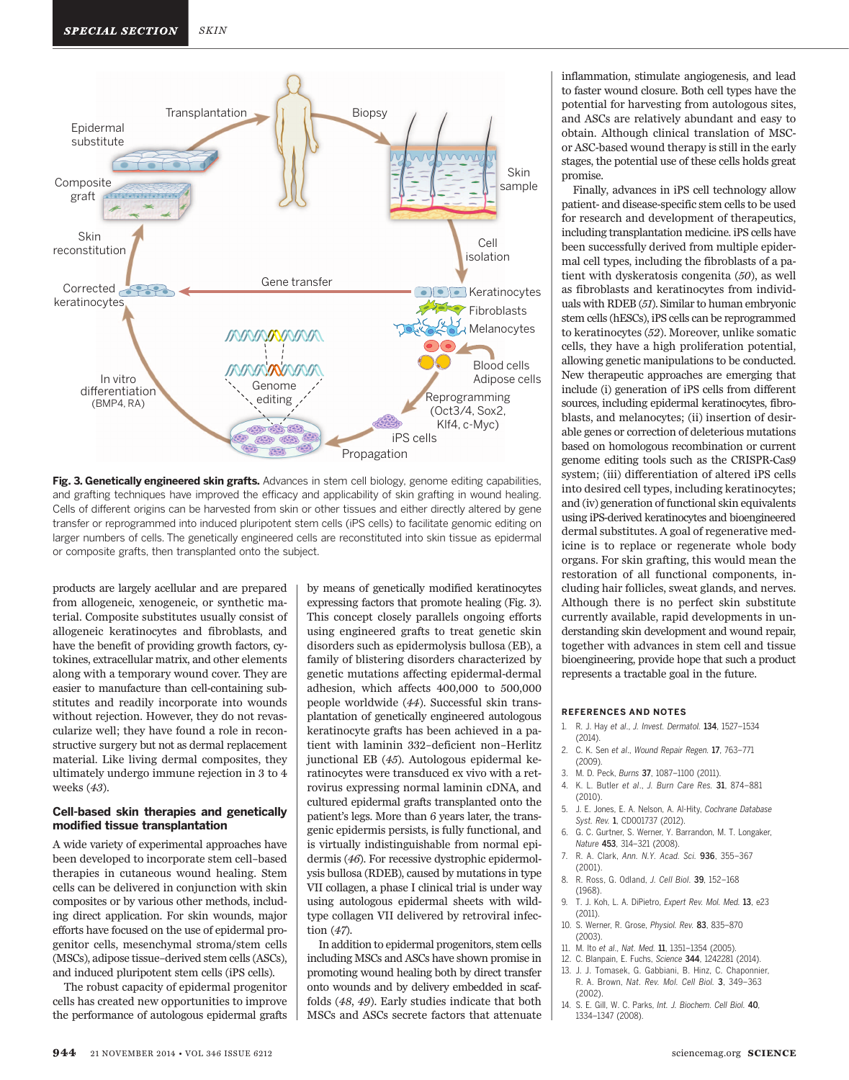

Fig. 3. Genetically engineered skin grafts. Advances in stem cell biology, genome editing capabilities, and grafting techniques have improved the efficacy and applicability of skin grafting in wound healing. Cells of different origins can be harvested from skin or other tissues and either directly altered by gene transfer or reprogrammed into induced pluripotent stem cells (iPS cells) to facilitate genomic editing on larger numbers of cells. The genetically engineered cells are reconstituted into skin tissue as epidermal or composite grafts, then transplanted onto the subject.

products are largely acellular and are prepared from allogeneic, xenogeneic, or synthetic material. Composite substitutes usually consist of allogeneic keratinocytes and fibroblasts, and have the benefit of providing growth factors, cytokines, extracellular matrix, and other elements along with a temporary wound cover. They are easier to manufacture than cell-containing substitutes and readily incorporate into wounds without rejection. However, they do not revascularize well; they have found a role in reconstructive surgery but not as dermal replacement material. Like living dermal composites, they ultimately undergo immune rejection in 3 to 4 weeks (43).

#### Cell-based skin therapies and genetically modified tissue transplantation

A wide variety of experimental approaches have been developed to incorporate stem cell–based therapies in cutaneous wound healing. Stem cells can be delivered in conjunction with skin composites or by various other methods, including direct application. For skin wounds, major efforts have focused on the use of epidermal progenitor cells, mesenchymal stroma/stem cells (MSCs), adipose tissue–derived stem cells (ASCs), and induced pluripotent stem cells (iPS cells).

The robust capacity of epidermal progenitor cells has created new opportunities to improve the performance of autologous epidermal grafts

by means of genetically modified keratinocytes expressing factors that promote healing (Fig. 3). This concept closely parallels ongoing efforts using engineered grafts to treat genetic skin disorders such as epidermolysis bullosa (EB), a family of blistering disorders characterized by genetic mutations affecting epidermal-dermal adhesion, which affects 400,000 to 500,000 people worldwide (44). Successful skin transplantation of genetically engineered autologous keratinocyte grafts has been achieved in a patient with laminin 332–deficient non–Herlitz junctional EB (45). Autologous epidermal keratinocytes were transduced ex vivo with a retrovirus expressing normal laminin cDNA, and cultured epidermal grafts transplanted onto the patient's legs. More than 6 years later, the transgenic epidermis persists, is fully functional, and is virtually indistinguishable from normal epidermis (46). For recessive dystrophic epidermolysis bullosa (RDEB), caused by mutations in type VII collagen, a phase I clinical trial is under way using autologous epidermal sheets with wildtype collagen VII delivered by retroviral infection (47).

In addition to epidermal progenitors, stem cells including MSCs and ASCs have shown promise in promoting wound healing both by direct transfer onto wounds and by delivery embedded in scaffolds (48, 49). Early studies indicate that both MSCs and ASCs secrete factors that attenuate

inflammation, stimulate angiogenesis, and lead to faster wound closure. Both cell types have the potential for harvesting from autologous sites, and ASCs are relatively abundant and easy to obtain. Although clinical translation of MSCor ASC-based wound therapy is still in the early stages, the potential use of these cells holds great promise.

Finally, advances in iPS cell technology allow patient- and disease-specific stem cells to be used for research and development of therapeutics, including transplantation medicine. iPS cells have been successfully derived from multiple epidermal cell types, including the fibroblasts of a patient with dyskeratosis congenita (50), as well as fibroblasts and keratinocytes from individuals with RDEB (51). Similar to human embryonic stem cells (hESCs), iPS cells can be reprogrammed to keratinocytes (52). Moreover, unlike somatic cells, they have a high proliferation potential, allowing genetic manipulations to be conducted. New therapeutic approaches are emerging that include (i) generation of iPS cells from different sources, including epidermal keratinocytes, fibroblasts, and melanocytes; (ii) insertion of desirable genes or correction of deleterious mutations based on homologous recombination or current genome editing tools such as the CRISPR-Cas9 system; (iii) differentiation of altered iPS cells into desired cell types, including keratinocytes; and (iv) generation of functional skin equivalents using iPS-derived keratinocytes and bioengineered dermal substitutes. A goal of regenerative medicine is to replace or regenerate whole body organs. For skin grafting, this would mean the restoration of all functional components, including hair follicles, sweat glands, and nerves. Although there is no perfect skin substitute currently available, rapid developments in understanding skin development and wound repair, together with advances in stem cell and tissue bioengineering, provide hope that such a product represents a tractable goal in the future.

#### REFERENCES AND NOTES

- 1. R. J. Hay et al., J. Invest. Dermatol. 134, 1527–1534 (2014).
- 2. C. K. Sen et al., Wound Repair Regen. 17, 763-771 (2009).
- 3. M. D. Peck, Burns 37, 1087–1100 (2011).
- 4. K. L. Butler et al., J. Burn Care Res. 31, 874–881 (2010).
- 5. J. E. Jones, E. A. Nelson, A. Al-Hity, Cochrane Database Syst. Rev. 1, CD001737 (2012).
- 6. G. C. Gurtner, S. Werner, Y. Barrandon, M. T. Longaker, Nature 453, 314–321 (2008).
- 7. R. A. Clark, Ann. N.Y. Acad. Sci. 936, 355–367 (2001).
- 8. R. Ross, G. Odland, J. Cell Biol. 39, 152–168 (1968).
- 9. T. J. Koh, L. A. DiPietro, Expert Rev. Mol. Med. 13, e23 (2011).
- 10. S. Werner, R. Grose, Physiol. Rev. 83, 835–870 (2003).
- 11. M. Ito et al., Nat. Med. 11, 1351–1354 (2005).
- 12. C. Blanpain, E. Fuchs, Science 344, 1242281 (2014).
- 13. J. J. Tomasek, G. Gabbiani, B. Hinz, C. Chaponnier, R. A. Brown, Nat. Rev. Mol. Cell Biol. 3, 349–363 (2002).
- 14. S. E. Gill, W. C. Parks, Int. J. Biochem. Cell Biol. 40, 1334–1347 (2008).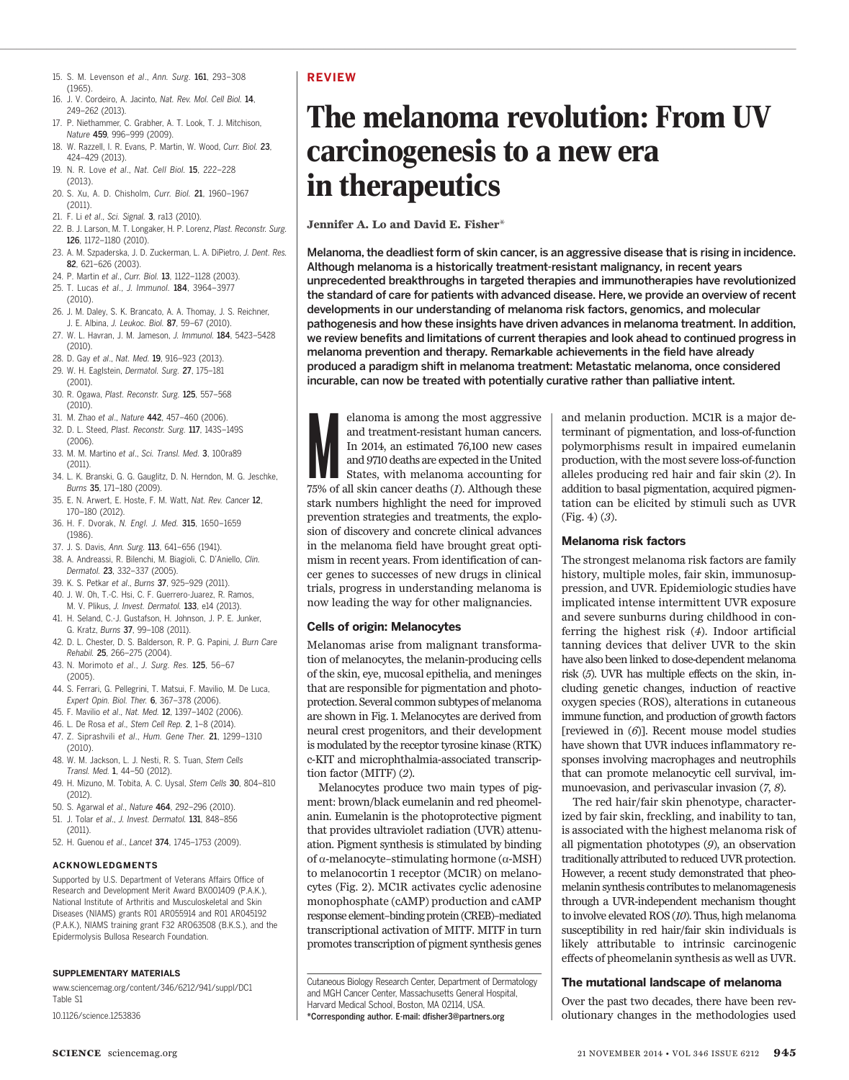- 15. S. M. Levenson et al., Ann. Surg. 161, 293–308 (1965).
- 16. J. V. Cordeiro, A. Jacinto, Nat. Rev. Mol. Cell Biol. 14, 249–262 (2013).
- 17. P. Niethammer, C. Grabher, A. T. Look, T. J. Mitchison, Nature 459, 996–999 (2009).
- 18. W. Razzell, I. R. Evans, P. Martin, W. Wood, Curr. Biol. 23, 424–429 (2013).
- 19. N. R. Love et al., Nat. Cell Biol. 15, 222–228 (2013).
- 20. S. Xu, A. D. Chisholm, Curr. Biol. 21, 1960–1967 (2011).
- 21. F. Li et al., Sci. Signal. 3, ra13 (2010).
- 22. B. J. Larson, M. T. Longaker, H. P. Lorenz, Plast. Reconstr. Surg. 126, 1172–1180 (2010).
- 23. A. M. Szpaderska, J. D. Zuckerman, L. A. DiPietro, J. Dent. Res. 82, 621–626 (2003).
- 24. P. Martin et al., Curr. Biol. 13, 1122–1128 (2003).
- 25. T. Lucas et al., J. Immunol. 184, 3964–3977 (2010).
- 26. J. M. Daley, S. K. Brancato, A. A. Thomay, J. S. Reichner, J. E. Albina, J. Leukoc. Biol. 87, 59–67 (2010).
- 27. W. L. Havran, J. M. Jameson, J. Immunol. 184, 5423–5428 (2010).
- 28. D. Gay et al., Nat. Med. 19, 916–923 (2013).
- 29. W. H. Eaglstein, Dermatol. Surg. 27, 175–181
- (2001). 30. R. Ogawa, Plast. Reconstr. Surg. 125, 557–568
- (2010). 31. M. Zhao et al., Nature 442, 457-460 (2006).
- 32. D. L. Steed, Plast. Reconstr. Surg. 117, 143S–149S  $(2006)$
- 33. M. M. Martino et al., Sci. Transl. Med. 3, 100ra89 (2011).
- 34. L. K. Branski, G. G. Gauglitz, D. N. Herndon, M. G. Jeschke, Burns 35, 171–180 (2009).
- 35. E. N. Arwert, E. Hoste, F. M. Watt, Nat. Rev. Cancer 12. 170–180 (2012).
- 36. H. F. Dvorak, N. Engl. J. Med. 315, 1650–1659 (1986).
- 37. J. S. Davis, Ann. Surg. 113, 641–656 (1941).
- 38. A. Andreassi, R. Bilenchi, M. Biagioli, C. D'Aniello, Clin. Dermatol. 23, 332–337 (2005).
- 39. K. S. Petkar et al., Burns 37, 925-929 (2011).
- 40. J. W. Oh, T.-C. Hsi, C. F. Guerrero-Juarez, R. Ramos,
- M. V. Plikus, J. Invest. Dermatol. 133, e14 (2013). 41. H. Seland, C.-J. Gustafson, H. Johnson, J. P. E. Junker,
- G. Kratz, Burns 37, 99–108 (2011). 42. D. L. Chester, D. S. Balderson, R. P. G. Papini, J. Burn Care
- Rehabil. 25, 266–275 (2004). 43. N. Morimoto et al., J. Surg. Res. 125, 56–67
- (2005).
- 44. S. Ferrari, G. Pellegrini, T. Matsui, F. Mavilio, M. De Luca, Expert Opin. Biol. Ther. 6, 367–378 (2006).
- 45. F. Mavilio et al., Nat. Med. 12, 1397–1402 (2006).
- 46. L. De Rosa et al., Stem Cell Rep. 2, 1–8 (2014). 47. Z. Siprashvili et al., Hum. Gene Ther. 21, 1299–1310
- (2010). 48. W. M. Jackson, L. J. Nesti, R. S. Tuan, Stem Cells
- Transl. Med. 1, 44–50 (2012). 49. H. Mizuno, M. Tobita, A. C. Uysal, Stem Cells 30, 804–810
- (2012). 50. S. Agarwal et al., Nature 464, 292–296 (2010).
- 51. J. Tolar et al., J. Invest. Dermatol. 131, 848–856 (2011).
- 52. H. Guenou et al., Lancet 374, 1745–1753 (2009).

#### ACKNOWLEDGMENTS

Supported by U.S. Department of Veterans Affairs Office of Research and Development Merit Award BX001409 (P.A.K.), National Institute of Arthritis and Musculoskeletal and Skin Diseases (NIAMS) grants R01 AR055914 and R01 AR045192 (P.A.K.), NIAMS training grant F32 ARO63508 (B.K.S.), and the Epidermolysis Bullosa Research Foundation.

#### SUPPLEMENTARY MATERIALS

www.sciencemag.org/content/346/6212/941/suppl/DC1 Table S1

10.1126/science.1253836

## REVIEW

# The melanoma revolution: From UV carcinogenesis to a new era in therapeutics

Jennifer A. Lo and David E. Fisher\*

Melanoma, the deadliest form of skin cancer, is an aggressive disease that is rising in incidence. Although melanoma is a historically treatment-resistant malignancy, in recent years unprecedented breakthroughs in targeted therapies and immunotherapies have revolutionized the standard of care for patients with advanced disease. Here, we provide an overview of recent developments in our understanding of melanoma risk factors, genomics, and molecular pathogenesis and how these insights have driven advances in melanoma treatment. In addition, we review benefits and limitations of current therapies and look ahead to continued progress in melanoma prevention and therapy. Remarkable achievements in the field have already produced a paradigm shift in melanoma treatment: Metastatic melanoma, once considered incurable, can now be treated with potentially curative rather than palliative intent.

elanoma is among the most aggressive<br>and treatment-resistant human cancers.<br>In 2014, an estimated 76,100 new cases<br>and 9710 deaths are expected in the United<br>States, with melanoma accounting for<br>75% of all skin cancer deat elanoma is among the most aggressive and treatment-resistant human cancers. In 2014, an estimated 76,100 new cases and 9710 deaths are expected in the United States, with melanoma accounting for stark numbers highlight the need for improved prevention strategies and treatments, the explosion of discovery and concrete clinical advances in the melanoma field have brought great optimism in recent years. From identification of cancer genes to successes of new drugs in clinical trials, progress in understanding melanoma is now leading the way for other malignancies.

## Cells of origin: Melanocytes

Melanomas arise from malignant transformation of melanocytes, the melanin-producing cells of the skin, eye, mucosal epithelia, and meninges that are responsible for pigmentation and photoprotection. Several common subtypes of melanoma are shown in Fig. 1. Melanocytes are derived from neural crest progenitors, and their development is modulated by the receptor tyrosine kinase (RTK) c-KIT and microphthalmia-associated transcription factor (MITF) (2).

Melanocytes produce two main types of pigment: brown/black eumelanin and red pheomelanin. Eumelanin is the photoprotective pigment that provides ultraviolet radiation (UVR) attenuation. Pigment synthesis is stimulated by binding of  $\alpha$ -melanocyte–stimulating hormone ( $\alpha$ -MSH) to melanocortin 1 receptor (MC1R) on melanocytes (Fig. 2). MC1R activates cyclic adenosine monophosphate (cAMP) production and cAMP response element–binding protein (CREB)–mediated transcriptional activation of MITF. MITF in turn promotes transcription of pigment synthesis genes

Cutaneous Biology Research Center, Department of Dermatology and MGH Cancer Center, Massachusetts General Hospital, Harvard Medical School, Boston, MA 02114, USA. \*Corresponding author. E-mail: dfisher3@partners.org

and melanin production. MC1R is a major determinant of pigmentation, and loss-of-function polymorphisms result in impaired eumelanin production, with the most severe loss-of-function alleles producing red hair and fair skin (2). In addition to basal pigmentation, acquired pigmentation can be elicited by stimuli such as UVR (Fig. 4) (3).

## Melanoma risk factors

The strongest melanoma risk factors are family history, multiple moles, fair skin, immunosuppression, and UVR. Epidemiologic studies have implicated intense intermittent UVR exposure and severe sunburns during childhood in conferring the highest risk (4). Indoor artificial tanning devices that deliver UVR to the skin have also been linked to dose-dependent melanoma risk (5). UVR has multiple effects on the skin, including genetic changes, induction of reactive oxygen species (ROS), alterations in cutaneous immune function, and production of growth factors [reviewed in  $(6)$ ]. Recent mouse model studies have shown that UVR induces inflammatory responses involving macrophages and neutrophils that can promote melanocytic cell survival, immunoevasion, and perivascular invasion (7, 8).

The red hair/fair skin phenotype, characterized by fair skin, freckling, and inability to tan, is associated with the highest melanoma risk of all pigmentation phototypes (9), an observation traditionally attributed to reduced UVR protection. However, a recent study demonstrated that pheomelanin synthesis contributes to melanomagenesis through a UVR-independent mechanism thought to involve elevated ROS (10). Thus, high melanoma susceptibility in red hair/fair skin individuals is likely attributable to intrinsic carcinogenic effects of pheomelanin synthesis as well as UVR.

## The mutational landscape of melanoma

Over the past two decades, there have been revolutionary changes in the methodologies used